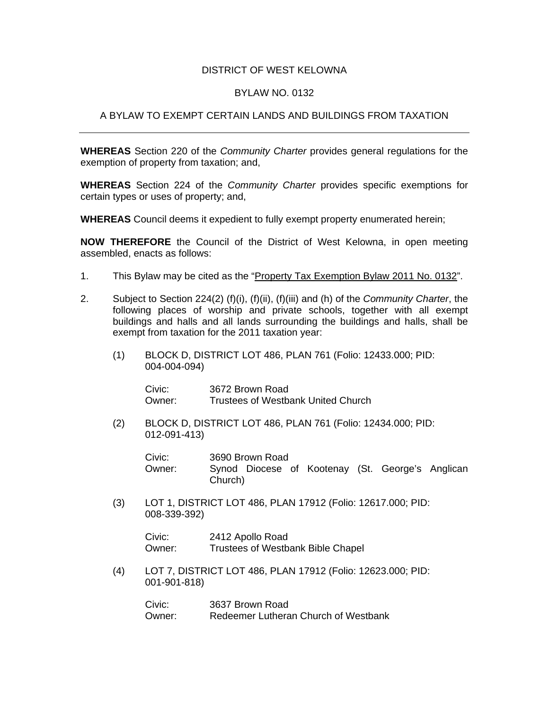## DISTRICT OF WEST KELOWNA

## BYLAW NO. 0132

## A BYLAW TO EXEMPT CERTAIN LANDS AND BUILDINGS FROM TAXATION

**WHEREAS** Section 220 of the *Community Charter* provides general regulations for the exemption of property from taxation; and,

**WHEREAS** Section 224 of the *Community Charter* provides specific exemptions for certain types or uses of property; and,

**WHEREAS** Council deems it expedient to fully exempt property enumerated herein;

**NOW THEREFORE** the Council of the District of West Kelowna, in open meeting assembled, enacts as follows:

- 1. This Bylaw may be cited as the "Property Tax Exemption Bylaw 2011 No. 0132".
- 2. Subject to Section 224(2) (f)(i), (f)(ii), (f)(iii) and (h) of the *Community Charter*, the following places of worship and private schools, together with all exempt buildings and halls and all lands surrounding the buildings and halls, shall be exempt from taxation for the 2011 taxation year:
	- (1) BLOCK D, DISTRICT LOT 486, PLAN 761 (Folio: 12433.000; PID: 004-004-094)

 Civic: 3672 Brown Road Owner: Trustees of Westbank United Church

(2) BLOCK D, DISTRICT LOT 486, PLAN 761 (Folio: 12434.000; PID: 012-091-413)

 Civic: 3690 Brown Road Owner: Synod Diocese of Kootenay (St. George's Anglican Church)

(3) LOT 1, DISTRICT LOT 486, PLAN 17912 (Folio: 12617.000; PID: 008-339-392)

> Civic: 2412 Apollo Road Owner: Trustees of Westbank Bible Chapel

 (4) LOT 7, DISTRICT LOT 486, PLAN 17912 (Folio: 12623.000; PID: 001-901-818)

> Civic: 3637 Brown Road Owner: Redeemer Lutheran Church of Westbank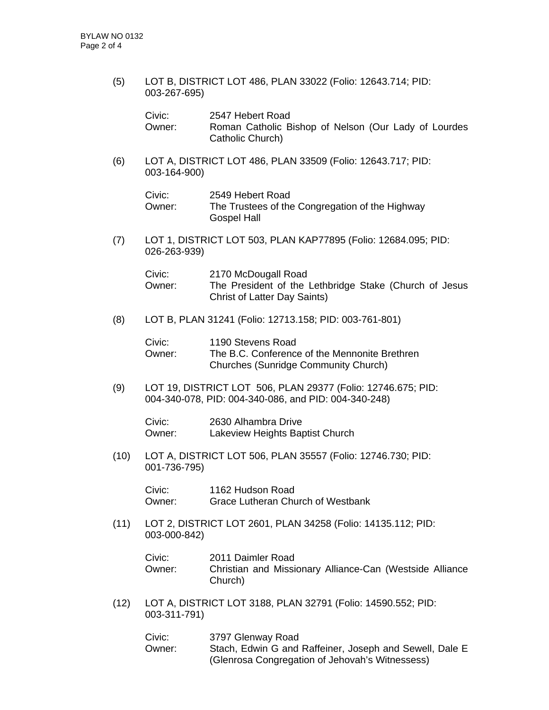(5) LOT B, DISTRICT LOT 486, PLAN 33022 (Folio: 12643.714; PID: 003-267-695)

| Civic:   | 2547 Hebert Road                                     |
|----------|------------------------------------------------------|
| Owner: . | Roman Catholic Bishop of Nelson (Our Lady of Lourdes |
|          | Catholic Church)                                     |

(6) LOT A, DISTRICT LOT 486, PLAN 33509 (Folio: 12643.717; PID: 003-164-900)

| Civic: | 2549 Hebert Road                                |
|--------|-------------------------------------------------|
| Owner: | The Trustees of the Congregation of the Highway |
|        | Gospel Hall                                     |

(7) LOT 1, DISTRICT LOT 503, PLAN KAP77895 (Folio: 12684.095; PID: 026-263-939)

| Civic: | 2170 McDougall Road                                    |
|--------|--------------------------------------------------------|
| Owner: | The President of the Lethbridge Stake (Church of Jesus |
|        | <b>Christ of Latter Day Saints)</b>                    |

(8) LOT B, PLAN 31241 (Folio: 12713.158; PID: 003-761-801)

| Civic: | 1190 Stevens Road                             |
|--------|-----------------------------------------------|
| Owner: | The B.C. Conference of the Mennonite Brethren |
|        | <b>Churches (Sunridge Community Church)</b>   |

(9) LOT 19, DISTRICT LOT 506, PLAN 29377 (Folio: 12746.675; PID: 004-340-078, PID: 004-340-086, and PID: 004-340-248)

 Civic: 2630 Alhambra Drive Owner: Lakeview Heights Baptist Church

 (10) LOT A, DISTRICT LOT 506, PLAN 35557 (Folio: 12746.730; PID: 001-736-795)

> Civic: 1162 Hudson Road Owner: Grace Lutheran Church of Westbank

 (11) LOT 2, DISTRICT LOT 2601, PLAN 34258 (Folio: 14135.112; PID: 003-000-842)

| Civic: | 2011 Daimler Road                                                   |
|--------|---------------------------------------------------------------------|
| Owner: | Christian and Missionary Alliance-Can (Westside Alliance<br>Church) |
|        |                                                                     |

(12) LOT A, DISTRICT LOT 3188, PLAN 32791 (Folio: 14590.552; PID: 003-311-791)

| Civic:   | 3797 Glenway Road                                       |
|----------|---------------------------------------------------------|
| Owner: . | Stach, Edwin G and Raffeiner, Joseph and Sewell, Dale E |
|          | (Glenrosa Congregation of Jehovah's Witnessess)         |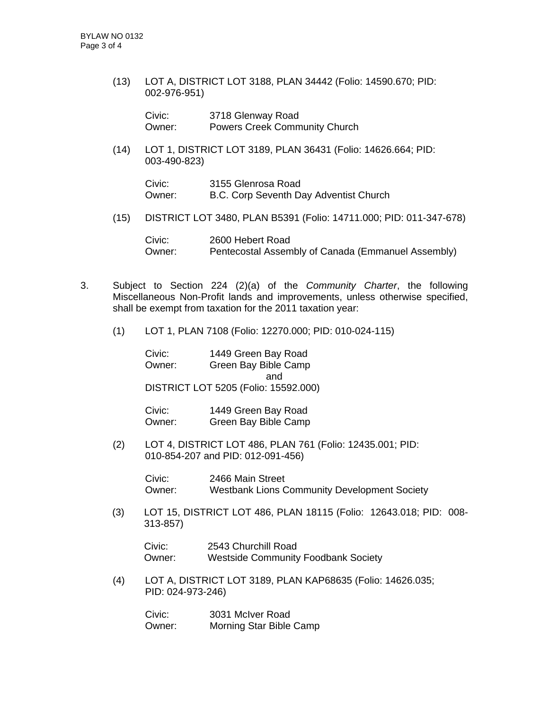(13) LOT A, DISTRICT LOT 3188, PLAN 34442 (Folio: 14590.670; PID: 002-976-951)

| Civic: | 3718 Glenway Road                    |
|--------|--------------------------------------|
| Owner: | <b>Powers Creek Community Church</b> |

 (14) LOT 1, DISTRICT LOT 3189, PLAN 36431 (Folio: 14626.664; PID: 003-490-823)

| Civic: | 3155 Glenrosa Road                     |  |
|--------|----------------------------------------|--|
| Owner: | B.C. Corp Seventh Day Adventist Church |  |

(15) DISTRICT LOT 3480, PLAN B5391 (Folio: 14711.000; PID: 011-347-678)

 Civic: 2600 Hebert Road Owner: Pentecostal Assembly of Canada (Emmanuel Assembly)

- 3. Subject to Section 224 (2)(a) of the *Community Charter*, the following Miscellaneous Non-Profit lands and improvements, unless otherwise specified, shall be exempt from taxation for the 2011 taxation year:
	- (1) LOT 1, PLAN 7108 (Folio: 12270.000; PID: 010-024-115)

 Civic: 1449 Green Bay Road Owner: Green Bay Bible Camp and DISTRICT LOT 5205 (Folio: 15592.000)

 Civic: 1449 Green Bay Road Owner: Green Bay Bible Camp

(2) LOT 4, DISTRICT LOT 486, PLAN 761 (Folio: 12435.001; PID: 010-854-207 and PID: 012-091-456)

> Civic: 2466 Main Street Owner: Westbank Lions Community Development Society

(3) LOT 15, DISTRICT LOT 486, PLAN 18115 (Folio: 12643.018; PID: 008- 313-857)

Civic: 2543 Churchill Road Owner: Westside Community Foodbank Society

(4) LOT A, DISTRICT LOT 3189, PLAN KAP68635 (Folio: 14626.035; PID: 024-973-246)

> Civic: 3031 McIver Road Owner: Morning Star Bible Camp